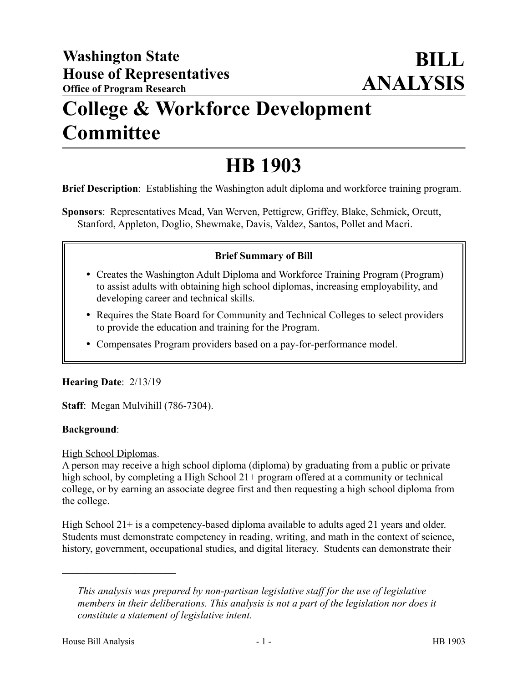## **College & Workforce Development Committee**

# **HB 1903**

**Brief Description**: Establishing the Washington adult diploma and workforce training program.

**Sponsors**: Representatives Mead, Van Werven, Pettigrew, Griffey, Blake, Schmick, Orcutt, Stanford, Appleton, Doglio, Shewmake, Davis, Valdez, Santos, Pollet and Macri.

#### **Brief Summary of Bill**

- Creates the Washington Adult Diploma and Workforce Training Program (Program) to assist adults with obtaining high school diplomas, increasing employability, and developing career and technical skills.
- Requires the State Board for Community and Technical Colleges to select providers to provide the education and training for the Program.
- Compensates Program providers based on a pay-for-performance model.

#### **Hearing Date**: 2/13/19

**Staff**: Megan Mulvihill (786-7304).

#### **Background**:

#### High School Diplomas.

––––––––––––––––––––––

A person may receive a high school diploma (diploma) by graduating from a public or private high school, by completing a High School 21+ program offered at a community or technical college, or by earning an associate degree first and then requesting a high school diploma from the college.

High School 21+ is a competency-based diploma available to adults aged 21 years and older. Students must demonstrate competency in reading, writing, and math in the context of science, history, government, occupational studies, and digital literacy. Students can demonstrate their

*This analysis was prepared by non-partisan legislative staff for the use of legislative members in their deliberations. This analysis is not a part of the legislation nor does it constitute a statement of legislative intent.*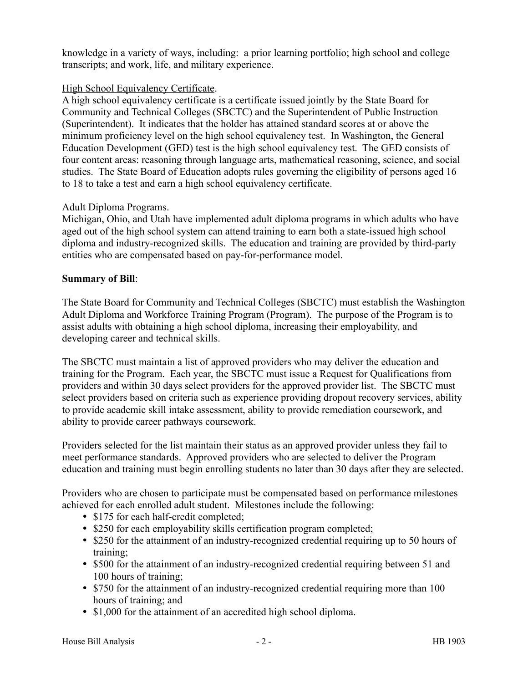knowledge in a variety of ways, including: a prior learning portfolio; high school and college transcripts; and work, life, and military experience.

## High School Equivalency Certificate.

A high school equivalency certificate is a certificate issued jointly by the State Board for Community and Technical Colleges (SBCTC) and the Superintendent of Public Instruction (Superintendent). It indicates that the holder has attained standard scores at or above the minimum proficiency level on the high school equivalency test. In Washington, the General Education Development (GED) test is the high school equivalency test. The GED consists of four content areas: reasoning through language arts, mathematical reasoning, science, and social studies. The State Board of Education adopts rules governing the eligibility of persons aged 16 to 18 to take a test and earn a high school equivalency certificate.

## Adult Diploma Programs.

Michigan, Ohio, and Utah have implemented adult diploma programs in which adults who have aged out of the high school system can attend training to earn both a state-issued high school diploma and industry-recognized skills. The education and training are provided by third-party entities who are compensated based on pay-for-performance model.

## **Summary of Bill**:

The State Board for Community and Technical Colleges (SBCTC) must establish the Washington Adult Diploma and Workforce Training Program (Program). The purpose of the Program is to assist adults with obtaining a high school diploma, increasing their employability, and developing career and technical skills.

The SBCTC must maintain a list of approved providers who may deliver the education and training for the Program. Each year, the SBCTC must issue a Request for Qualifications from providers and within 30 days select providers for the approved provider list. The SBCTC must select providers based on criteria such as experience providing dropout recovery services, ability to provide academic skill intake assessment, ability to provide remediation coursework, and ability to provide career pathways coursework.

Providers selected for the list maintain their status as an approved provider unless they fail to meet performance standards. Approved providers who are selected to deliver the Program education and training must begin enrolling students no later than 30 days after they are selected.

Providers who are chosen to participate must be compensated based on performance milestones achieved for each enrolled adult student. Milestones include the following:

- \$175 for each half-credit completed;
- \$250 for each employability skills certification program completed;
- \$250 for the attainment of an industry-recognized credential requiring up to 50 hours of training;
- \$500 for the attainment of an industry-recognized credential requiring between 51 and 100 hours of training;
- \$750 for the attainment of an industry-recognized credential requiring more than 100 hours of training; and
- \$1,000 for the attainment of an accredited high school diploma.